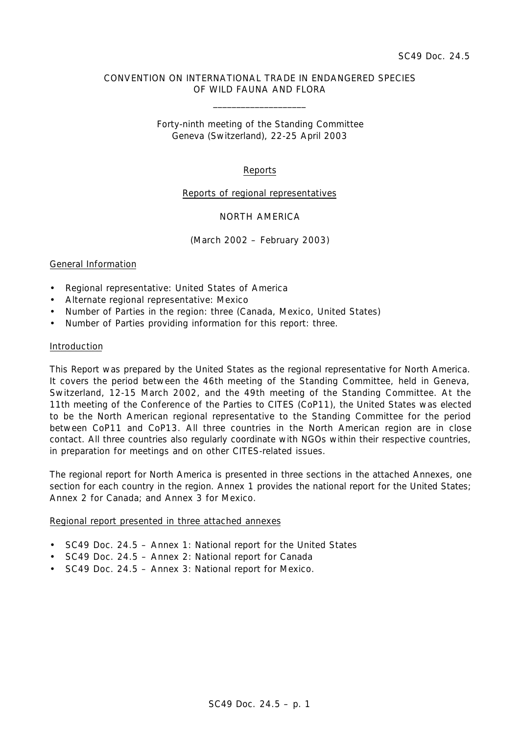# CONVENTION ON INTERNATIONAL TRADE IN ENDANGERED SPECIES OF WILD FAUNA AND FLORA

\_\_\_\_\_\_\_\_\_\_\_\_\_\_\_\_\_\_\_\_

Forty-ninth meeting of the Standing Committee Geneva (Switzerland), 22-25 April 2003

## Reports

### Reports of regional representatives

## NORTH AMERICA

(March 2002 – February 2003)

### General Information

- Regional representative: United States of America
- Alternate regional representative: Mexico
- Number of Parties in the region: three (Canada, Mexico, United States)
- Number of Parties providing information for this report: three.

#### Introduction

This Report was prepared by the United States as the regional representative for North America. It covers the period between the 46th meeting of the Standing Committee, held in Geneva, Switzerland, 12-15 March 2002, and the 49th meeting of the Standing Committee. At the 11th meeting of the Conference of the Parties to CITES (CoP11), the United States was elected to be the North American regional representative to the Standing Committee for the period between CoP11 and CoP13. All three countries in the North American region are in close contact. All three countries also regularly coordinate with NGOs within their respective countries, in preparation for meetings and on other CITES-related issues.

The regional report for North America is presented in three sections in the attached Annexes, one section for each country in the region. Annex 1 provides the national report for the United States; Annex 2 for Canada; and Annex 3 for Mexico.

#### Regional report presented in three attached annexes

- SC49 Doc. 24.5 Annex 1: National report for the United States
- SC49 Doc. 24.5 Annex 2: National report for Canada
- SC49 Doc. 24.5 Annex 3: National report for Mexico.